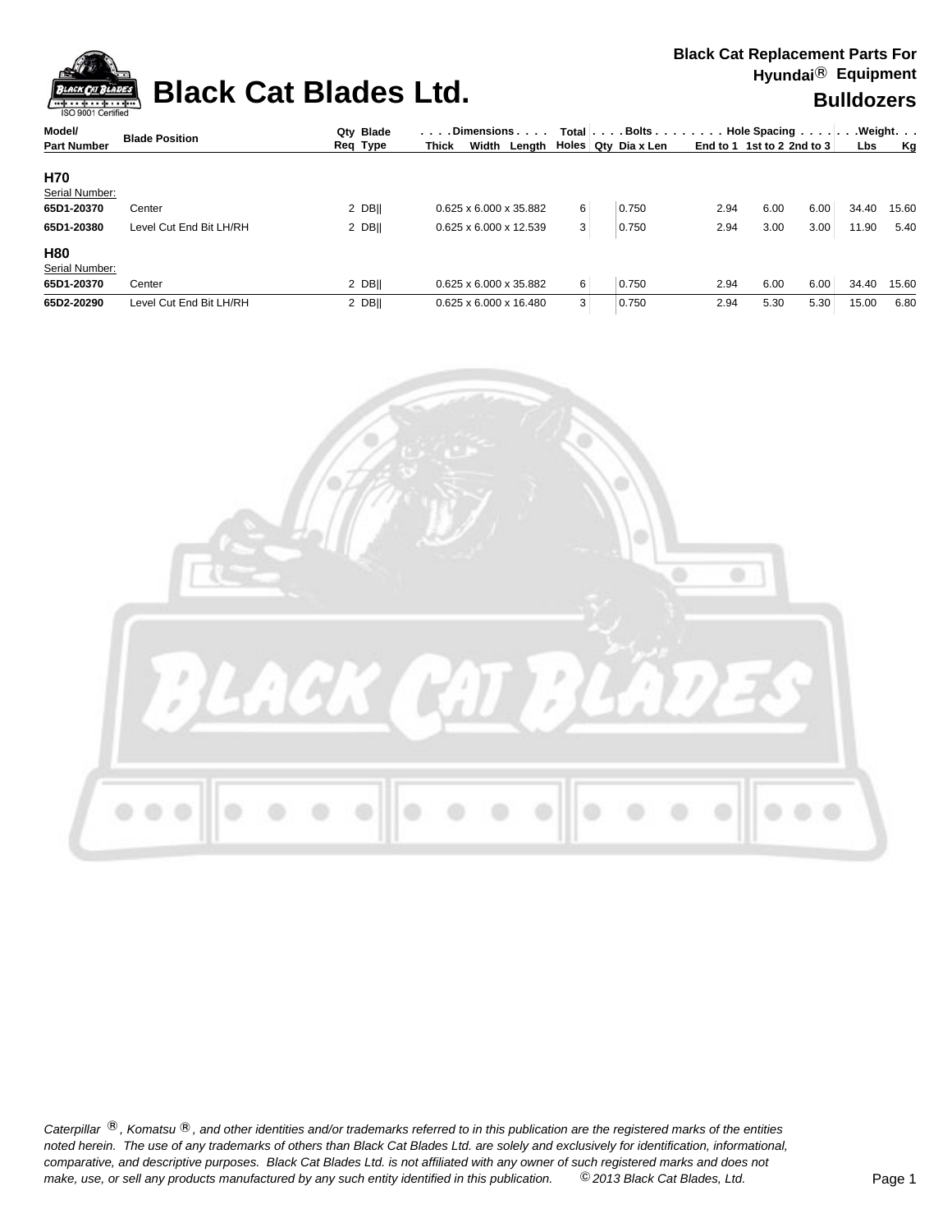

## **Black Cat Blades Ltd. Black Cat Blades Ltd. Bulldozers**

| Model/             |                         | Qty Blade | . Dimensions                       |   |                       |      | Total $\vert \ldots$ Bolts $\ldots \vert \ldots$ . Hole Spacing $\ldots \vert \ldots$ Weight. $\ldots$ |      |       |       |  |
|--------------------|-------------------------|-----------|------------------------------------|---|-----------------------|------|--------------------------------------------------------------------------------------------------------|------|-------|-------|--|
| <b>Part Number</b> | <b>Blade Position</b>   | Req Type  | Width<br>Lenath ∣<br><b>Thick</b>  |   | Holes   Qty Dia x Len |      | End to 1 1st to 2 2nd to 3                                                                             |      | Lbs   | Kg    |  |
| <b>H70</b>         |                         |           |                                    |   |                       |      |                                                                                                        |      |       |       |  |
| Serial Number:     |                         |           |                                    |   |                       |      |                                                                                                        |      |       |       |  |
| 65D1-20370         | Center                  | 2 DBII    | 0.625 x 6.000 x 35.882             | 6 | 0.750                 | 2.94 | 6.00                                                                                                   | 6.00 | 34.40 | 15.60 |  |
| 65D1-20380         | Level Cut End Bit LH/RH | 2 DBII    | $0.625 \times 6.000 \times 12.539$ | 3 | 0.750                 | 2.94 | 3.00                                                                                                   | 3.00 | 11.90 | 5.40  |  |
| <b>H80</b>         |                         |           |                                    |   |                       |      |                                                                                                        |      |       |       |  |
| Serial Number:     |                         |           |                                    |   |                       |      |                                                                                                        |      |       |       |  |
| 65D1-20370         | Center                  | 2 DBII    | 0.625 x 6.000 x 35.882             | 6 | 0.750                 | 2.94 | 6.00                                                                                                   | 6.00 | 34.40 | 15.60 |  |
| 65D2-20290         | Level Cut End Bit LH/RH | 2 DBII    | $0.625 \times 6.000 \times 16.480$ | 3 | 0.750                 | 2.94 | 5.30                                                                                                   | 5.30 | 15.00 | 6.80  |  |

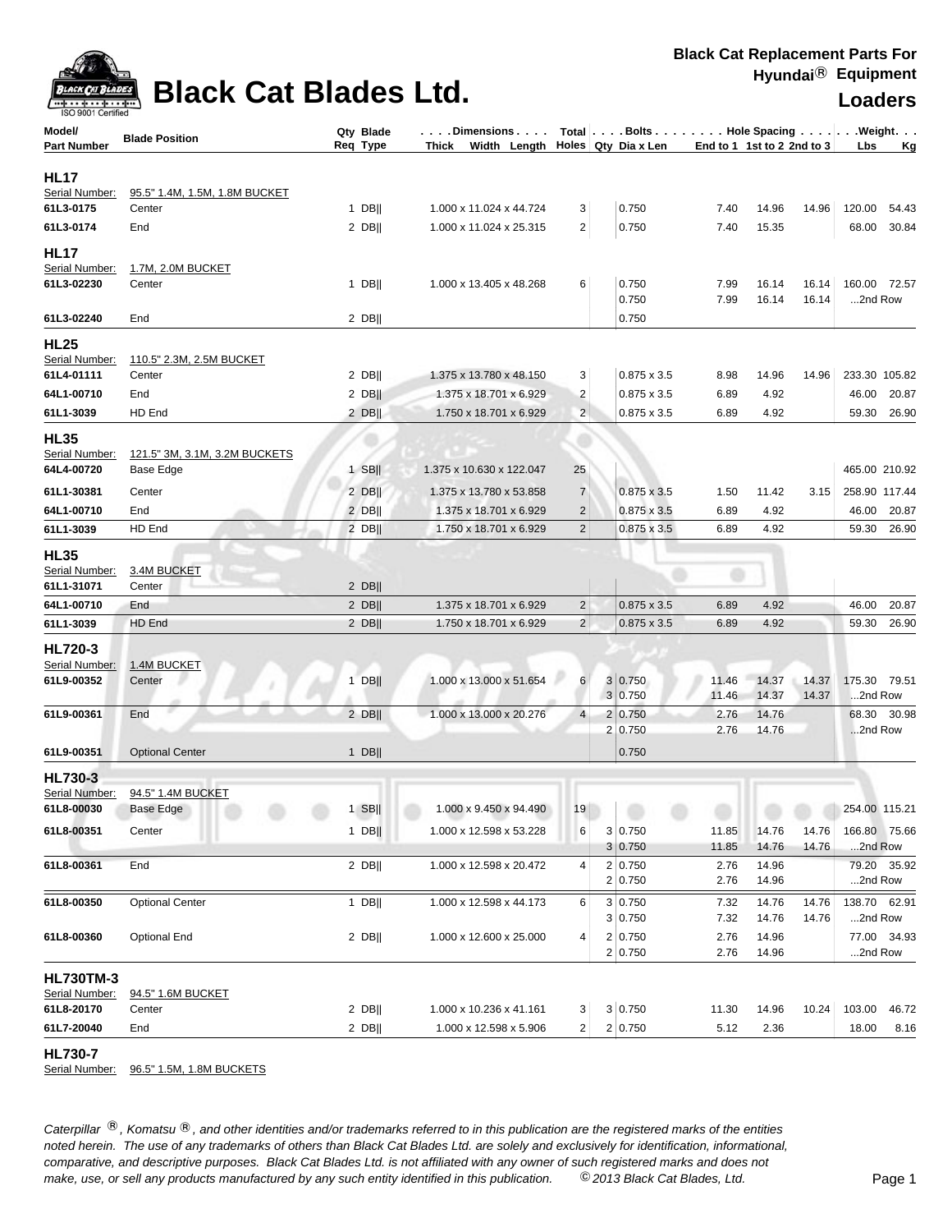

### **Black Cat Blades Ltd. Loaders Leaders Loaders**

| ISO 9001 Certified               |                                         |                       |                                                                                                |                |                    |               |                            |                        |
|----------------------------------|-----------------------------------------|-----------------------|------------------------------------------------------------------------------------------------|----------------|--------------------|---------------|----------------------------|------------------------|
| Model/<br><b>Part Number</b>     | <b>Blade Position</b>                   | Qty Blade<br>Req Type | Dimensions   Total   Bolts    Hole Spacing    Weight<br>Thick Width Length Holes Qty Dia x Len |                |                    |               | End to 1 1st to 2 2nd to 3 | Lbs<br>Kg              |
|                                  |                                         |                       |                                                                                                |                |                    |               |                            |                        |
| <b>HL17</b>                      |                                         |                       |                                                                                                |                |                    |               |                            |                        |
| Serial Number:<br>61L3-0175      | 95.5" 1.4M, 1.5M, 1.8M BUCKET<br>Center | $1$ DB                | 1.000 x 11.024 x 44.724                                                                        | 3              | 0.750              | 7.40          | 14.96<br>14.96             | 120.00<br>54.43        |
|                                  | End                                     | $2$ DB                | 1.000 x 11.024 x 25.315                                                                        | 2              | 0.750              | 7.40          | 15.35                      | 30.84<br>68.00         |
| 61L3-0174                        |                                         |                       |                                                                                                |                |                    |               |                            |                        |
| <b>HL17</b>                      |                                         |                       |                                                                                                |                |                    |               |                            |                        |
| Serial Number:<br>61L3-02230     | 1.7M, 2.0M BUCKET<br>Center             | $1$ DB                | 1.000 x 13.405 x 48.268                                                                        | 6              | 0.750              | 7.99          | 16.14<br>16.14             | 160.00 72.57           |
|                                  |                                         |                       |                                                                                                |                | 0.750              | 7.99          | 16.14<br>16.14             | 2nd Row                |
| 61L3-02240                       | End                                     | $2$ DB                |                                                                                                |                | 0.750              |               |                            |                        |
| <b>HL25</b>                      |                                         |                       |                                                                                                |                |                    |               |                            |                        |
| Serial Number:                   | 110.5" 2.3M, 2.5M BUCKET                |                       |                                                                                                |                |                    |               |                            |                        |
| 61L4-01111                       | Center                                  | $2$ DB                | 1.375 x 13.780 x 48.150                                                                        | 3              | $0.875 \times 3.5$ | 8.98          | 14.96<br>14.96             | 233.30 105.82          |
| 64L1-00710                       | End                                     | $2$ DB                | 1.375 x 18.701 x 6.929                                                                         | $\overline{2}$ | $0.875 \times 3.5$ | 6.89          | 4.92                       | 46.00<br>20.87         |
| 61L1-3039                        | HD End                                  | $2$ DB                | 1.750 x 18.701 x 6.929                                                                         | $\overline{c}$ | $0.875 \times 3.5$ | 6.89          | 4.92                       | 59.30 26.90            |
| <b>HL35</b>                      |                                         |                       |                                                                                                |                |                    |               |                            |                        |
| Serial Number:                   | 121.5" 3M, 3.1M, 3.2M BUCKETS           |                       |                                                                                                |                |                    |               |                            |                        |
| 64L4-00720                       | Base Edge                               | $1$ SB                | 1.375 x 10.630 x 122.047                                                                       | 25             |                    |               |                            | 465.00 210.92          |
| 61L1-30381                       | Center                                  | $2$ DB                | 1.375 x 13.780 x 53.858                                                                        | $\overline{7}$ | $0.875 \times 3.5$ | 1.50          | 11.42<br>3.15              | 258.90 117.44          |
| 64L1-00710                       | End<br><b>ATTA</b>                      | $2$ DB                | 1.375 x 18.701 x 6.929                                                                         | $\overline{2}$ | $0.875 \times 3.5$ | 6.89          | 4.92                       | 46.00<br>20.87         |
| 61L1-3039                        | HD End                                  | $2$ DB                | 1.750 x 18.701 x 6.929                                                                         | $\mathbf 2$    | $0.875 \times 3.5$ | 6.89          | 4.92                       | 26.90<br>59.30         |
| <b>HL35</b>                      |                                         |                       |                                                                                                |                |                    |               |                            |                        |
| Serial Number:                   | 3.4M BUCKET                             |                       |                                                                                                |                |                    | Ð             |                            |                        |
| 61L1-31071                       | Center                                  | $2$ DB                |                                                                                                |                |                    |               |                            |                        |
| 64L1-00710                       | End                                     | $2$ DB                | 1.375 x 18.701 x 6.929                                                                         | $\overline{c}$ | $0.875 \times 3.5$ | 6.89          | 4.92                       | 20.87<br>46.00         |
| 61L1-3039                        | HD End                                  | $2$ DB                | 1.750 x 18.701 x 6.929                                                                         | $\overline{2}$ | $0.875 \times 3.5$ | 6.89          | 4.92                       | 59.30<br>26.90         |
| <b>HL720-3</b>                   |                                         |                       |                                                                                                |                |                    |               |                            |                        |
| Serial Number:                   | 1.4M BUCKET                             |                       |                                                                                                |                |                    |               |                            |                        |
| 61L9-00352                       | Center                                  | $1$ DB                | 1.000 x 13.000 x 51.654                                                                        | 6              | 3 0.750<br>3 0.750 | 11.46         | 14.37<br>14.37             | 175.30 79.51           |
| 61L9-00361                       | End                                     | $2$ DB                | 1.000 x 13.000 x 20.276                                                                        | $\overline{4}$ | 2 0.750            | 11.46<br>2.76 | 14.37<br>14.37<br>14.76    | 2nd Row<br>68.30 30.98 |
|                                  |                                         |                       |                                                                                                |                | 2 0.750            | 2.76          | 14.76                      | 2nd Row                |
| 61L9-00351                       | <b>Optional Center</b>                  | $1$ DB                |                                                                                                |                | 0.750              |               |                            |                        |
|                                  |                                         |                       |                                                                                                |                |                    |               |                            |                        |
| <b>HL730-3</b><br>Serial Number: | 94.5" 1.4M BUCKET                       |                       |                                                                                                |                |                    |               |                            |                        |
| 61L8-00030                       | Base Edge                               | $1$ SB                | 1.000 x 9.450 x 94.490                                                                         |                |                    |               |                            | 254.00 115.21          |
| 61L8-00351                       | Center                                  | $1$ DB                | 1.000 x 12.598 x 53.228                                                                        | 6              | 3 0.750            | 11.85         | 14.76<br>14.76             | 166.80 75.66           |
|                                  |                                         |                       |                                                                                                |                | 3 0.750            | 11.85         | 14.76<br>14.76             | 2nd Row                |
| 61L8-00361                       | End                                     | $2$ DB                | 1.000 x 12.598 x 20.472                                                                        | 4              | 2 0.750            | 2.76          | 14.96                      | 79.20 35.92            |
|                                  |                                         |                       |                                                                                                |                | 2 0.750            | 2.76          | 14.96                      | 2nd Row                |
| 61L8-00350                       | <b>Optional Center</b>                  | $1$ DB                | 1.000 x 12.598 x 44.173                                                                        | 6              | 3 0.750            | 7.32          | 14.76<br>14.76             | 138.70 62.91           |
|                                  |                                         |                       |                                                                                                |                | 3 0.750            | 7.32          | 14.76<br>14.76             | 2nd Row                |
| 61L8-00360                       | <b>Optional End</b>                     | $2$ DB                | 1.000 x 12.600 x 25.000                                                                        | 4              | 2 0.750            | 2.76          | 14.96                      | 77.00 34.93            |
|                                  |                                         |                       |                                                                                                |                | 2 0.750            | 2.76          | 14.96                      | 2nd Row                |
| <b>HL730TM-3</b>                 |                                         |                       |                                                                                                |                |                    |               |                            |                        |
| Serial Number:                   | 94.5" 1.6M BUCKET                       |                       |                                                                                                |                |                    |               |                            |                        |
| 61L8-20170                       | Center                                  | $2$ DB                | 1.000 x 10.236 x 41.161                                                                        | 3 <sup>2</sup> | 3 0.750            | 11.30         | 14.96<br>10.24             | 103.00<br>46.72        |
| 61L7-20040                       | End                                     | $2$ DB                | 1.000 x 12.598 x 5.906                                                                         | $\overline{2}$ | 2 0.750            | 5.12          | 2.36                       | 18.00<br>8.16          |

**HL730-7** 

Serial Number: 96.5" 1.5M, 1.8M BUCKETS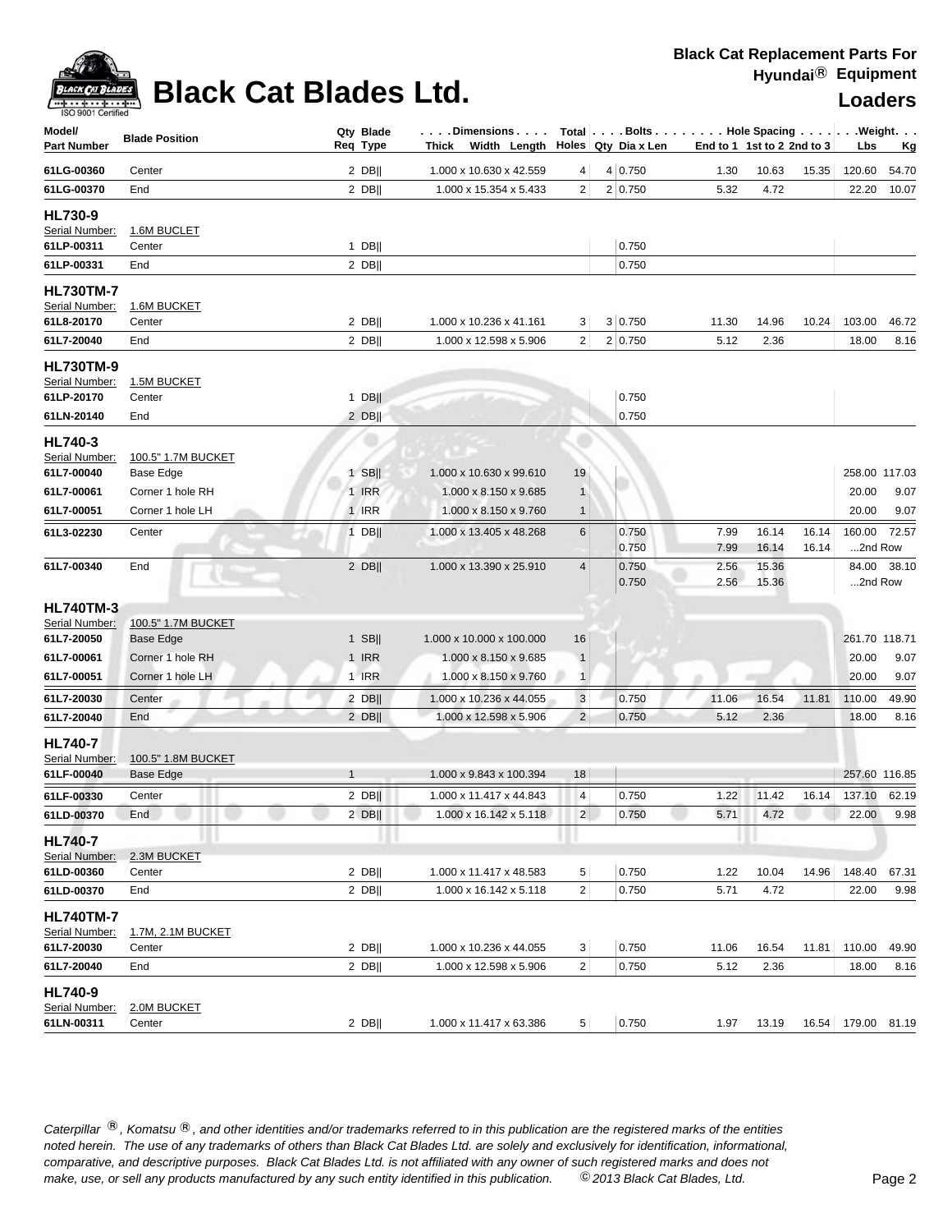

# **Black Cat Blades Ltd. Loaders Legation Cat Blades Ltd. Loaders**

| Model/<br><b>Part Number</b>                                   | <b>Blade Position</b>           |              | Qty Blade<br>Req Type | Dimensions   Total   Bolts    Hole Spacing     Weight<br>Thick Width Length |                | Holes Qty Dia x Len | End to 1 1st to 2 2nd to 3 |                |                | Lbs                | <u>Kg</u>     |
|----------------------------------------------------------------|---------------------------------|--------------|-----------------------|-----------------------------------------------------------------------------|----------------|---------------------|----------------------------|----------------|----------------|--------------------|---------------|
| 61LG-00360                                                     | Center                          |              | $2$ DB                | 1.000 x 10.630 x 42.559                                                     | 4              | 4 0.750             | 1.30                       | 10.63          | 15.35          | 120.60             | 54.70         |
| 61LG-00370                                                     | End                             |              | $2$ DB                | 1.000 x 15.354 x 5.433                                                      | $\overline{2}$ | 2 0.750             | 5.32                       | 4.72           |                |                    | 22.20 10.07   |
| <b>HL730-9</b><br>Serial Number:<br>61LP-00311                 | 1.6M BUCLET<br>Center           |              | $1$ DB                |                                                                             |                | 0.750               |                            |                |                |                    |               |
| 61LP-00331                                                     | End                             |              | 2 DB                  |                                                                             |                | 0.750               |                            |                |                |                    |               |
| <b>HL730TM-7</b><br>Serial Number:<br>61L8-20170               | 1.6M BUCKET<br>Center           |              | $2$ DB                | 1.000 x 10.236 x 41.161                                                     | 3              | 3 0.750             | 11.30                      | 14.96          | 10.24          | 103.00             | 46.72         |
| 61L7-20040                                                     | End                             |              | $2$ DB                | 1.000 x 12.598 x 5.906                                                      | $\overline{c}$ | 2 0.750             | 5.12                       | 2.36           |                | 18.00              | 8.16          |
| <b>HL730TM-9</b><br>Serial Number:<br>61LP-20170<br>61LN-20140 | 1.5M BUCKET<br>Center<br>End    |              | $1$ DB  <br>$2$ DB    | and the                                                                     |                | 0.750<br>0.750      |                            |                |                |                    |               |
|                                                                |                                 |              |                       |                                                                             |                |                     |                            |                |                |                    |               |
| <b>HL740-3</b><br>Serial Number:<br>61L7-00040                 | 100.5" 1.7M BUCKET<br>Base Edge |              | $1$ SB                | 1.000 x 10.630 x 99.610                                                     | 19             |                     |                            |                |                |                    | 258.00 117.03 |
| 61L7-00061                                                     | Corner 1 hole RH                |              | $1$ IRR               | 1.000 x 8.150 x 9.685                                                       | $\mathbf{1}$   |                     |                            |                |                | 20.00              | 9.07          |
| 61L7-00051                                                     | Corner 1 hole LH                |              | <b>1 IRR</b>          | 1.000 x 8.150 x 9.760                                                       | $\mathbf{1}$   |                     |                            |                |                | 20.00              | 9.07          |
| 61L3-02230                                                     | Center                          |              | $1$ DB                | 1.000 x 13.405 x 48.268                                                     | 6              | 0.750<br>0.750      | 7.99<br>7.99               | 16.14<br>16.14 | 16.14<br>16.14 | 160.00<br>2nd Row  | 72.57         |
| 61L7-00340                                                     | End                             |              | $2$ DB                | 1.000 x 13.390 x 25.910                                                     | $\overline{4}$ | 0.750<br>0.750      | 2.56<br>2.56               | 15.36<br>15.36 |                | 2nd Row            | 84.00 38.10   |
| <b>HL740TM-3</b>                                               |                                 |              |                       |                                                                             |                |                     |                            |                |                |                    |               |
| Serial Number:<br>61L7-20050                                   | 100.5" 1.7M BUCKET<br>Base Edge |              | $1$ SB                | 1.000 x 10.000 x 100.000                                                    | 16             |                     |                            |                |                | 261.70 118.71      |               |
| 61L7-00061                                                     | Corner 1 hole RH                |              | 1 IRR                 | 1.000 x 8.150 x 9.685                                                       | $\mathbf{1}$   |                     |                            |                |                | 20.00              | 9.07          |
| 61L7-00051                                                     | Corner 1 hole LH                |              | 1 IRR                 | 1.000 x 8.150 x 9.760                                                       | $\overline{1}$ |                     |                            |                |                | 20.00              | 9.07          |
| 61L7-20030                                                     | Center                          |              | $2$ DB                | 1.000 x 10.236 x 44.055                                                     | $\sqrt{3}$     | 0.750               | 11.06                      | 16.54          | 11.81          | 110.00             | 49.90         |
| 61L7-20040                                                     | End                             |              | 2 DB                  | 1.000 x 12.598 x 5.906                                                      | $\overline{2}$ | 0.750               | 5.12                       | 2.36           |                | 18.00              | 8.16          |
| <b>HL740-7</b><br>Serial Number:                               | 100.5" 1.8M BUCKET              |              |                       |                                                                             |                |                     |                            |                |                |                    |               |
| 61LF-00040                                                     | <b>Base Edge</b>                | $\mathbf{1}$ |                       | 1.000 x 9.843 x 100.394                                                     | 18             |                     |                            |                |                | 257.60 116.85      |               |
| 61LF-00330                                                     | Center                          |              | $2$ DB                | 1.000 x 11.417 x 44.843                                                     | 4              | 0.750               | 1.22                       | 11.42          | 16.14          | 137.10 62.19       |               |
| 61LD-00370                                                     | End                             |              | $2$ DB                | 1.000 x 16.142 x 5.118                                                      | $2\vert$       | 0.750               |                            | 5.71 4.72      |                |                    | 22.00 9.98    |
| <b>HL740-7</b>                                                 |                                 |              |                       |                                                                             |                |                     |                            |                |                |                    |               |
| Serial Number:<br>61LD-00360                                   | 2.3M BUCKET<br>Center           |              | $2$ DB                | 1.000 x 11.417 x 48.583                                                     | $\,$ 5 $\,$    | 0.750               | 1.22                       | 10.04          | 14.96          | 148.40             | 67.31         |
| 61LD-00370                                                     | End                             |              | $2$ DB                | 1.000 x 16.142 x 5.118                                                      | $\sqrt{2}$     | 0.750               | 5.71                       | 4.72           |                | 22.00              | 9.98          |
| <b>HL740TM-7</b><br>Serial Number:                             | 1.7M, 2.1M BUCKET               |              |                       |                                                                             |                |                     |                            |                |                |                    |               |
| 61L7-20030                                                     | Center                          |              | $2$ DB                | 1.000 x 10.236 x 44.055                                                     | 3              | 0.750               | 11.06                      | 16.54          | 11.81          | 110.00             | 49.90         |
| 61L7-20040                                                     | End                             |              | $2$ DB                | 1.000 x 12.598 x 5.906                                                      | $\sqrt{2}$     | 0.750               | 5.12                       | 2.36           |                | 18.00              | 8.16          |
| <b>HL740-9</b><br>Serial Number:                               | 2.0M BUCKET                     |              |                       |                                                                             |                |                     |                            |                |                |                    |               |
| 61LN-00311                                                     | Center                          |              | $2$ DB                | $1.000 \times 11.417 \times 63.386$                                         | 5 <sup>1</sup> | 0.750               | 1.97                       | 13.19          |                | 16.54 179.00 81.19 |               |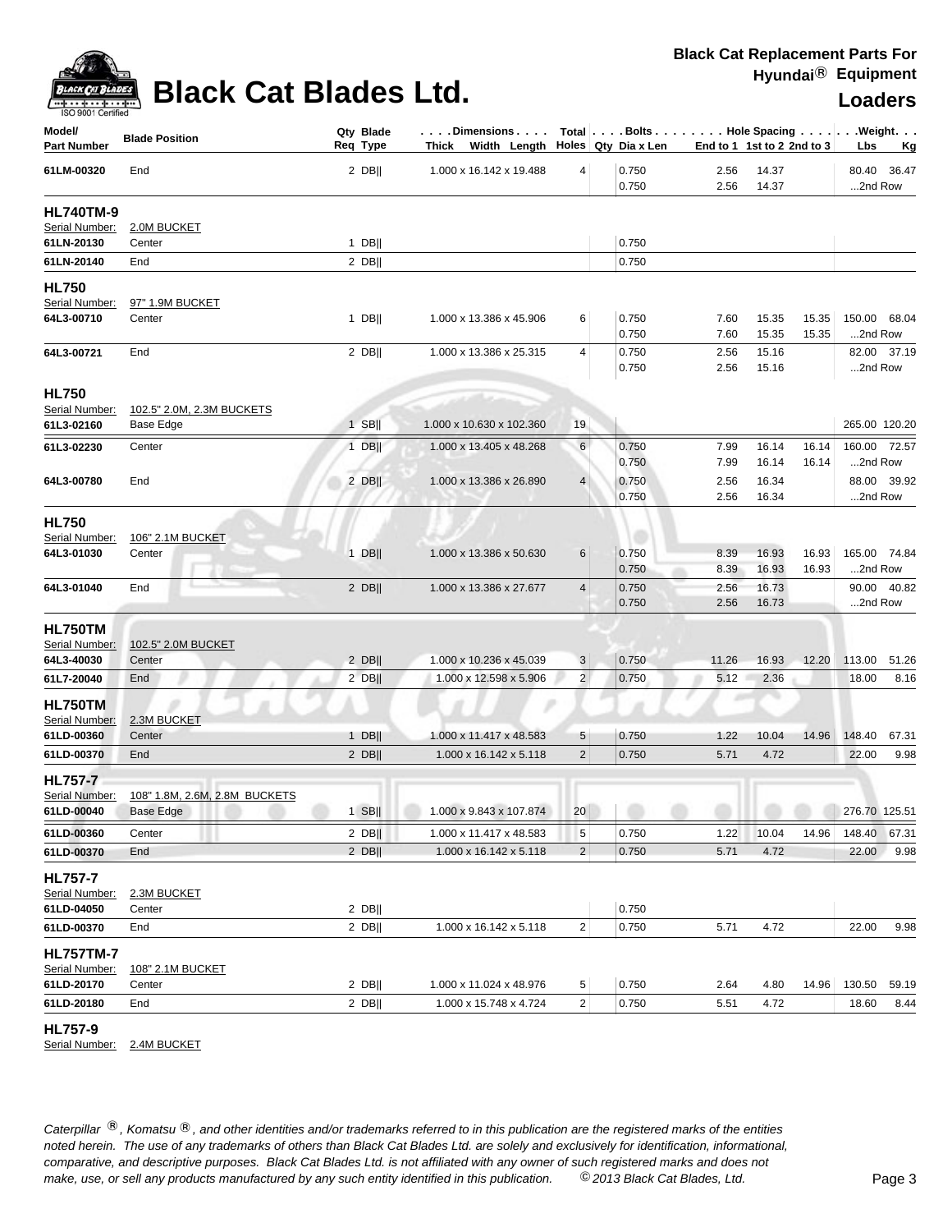

# **Black Cat Blades Ltd. Loaders Loaders**

| Model/<br>Part Number                                        | <b>Blade Position</b>                      | Qty Blade<br>Req Type | Dimensions   Total   Bolts    Hole Spacing    Weight<br>Thick Width Length Holes Qty Dia x Len |                |                |              | End to 1 1st to 2 2nd to 3 |       | Lbs           | <u>Kg</u>     |
|--------------------------------------------------------------|--------------------------------------------|-----------------------|------------------------------------------------------------------------------------------------|----------------|----------------|--------------|----------------------------|-------|---------------|---------------|
| 61LM-00320                                                   | End                                        | $2$ DB                | 1.000 x 16.142 x 19.488                                                                        | 4              | 0.750<br>0.750 | 2.56<br>2.56 | 14.37<br>14.37             |       | 2nd Row       | 80.40 36.47   |
| <b>HL740TM-9</b>                                             |                                            |                       |                                                                                                |                |                |              |                            |       |               |               |
| Serial Number:                                               | 2.0M BUCKET                                |                       |                                                                                                |                |                |              |                            |       |               |               |
| 61LN-20130                                                   | Center                                     | $1$ DB                |                                                                                                |                | 0.750          |              |                            |       |               |               |
| 61LN-20140                                                   | End                                        | 2 DB                  |                                                                                                |                | 0.750          |              |                            |       |               |               |
| <b>HL750</b><br>Serial Number:                               | 97" 1.9M BUCKET                            |                       |                                                                                                |                |                |              |                            |       |               |               |
| 64L3-00710                                                   | Center                                     | $1$ DB                | 1.000 x 13.386 x 45.906                                                                        | 6              | 0.750          | 7.60         | 15.35                      | 15.35 |               | 150.00 68.04  |
|                                                              |                                            |                       |                                                                                                |                | 0.750          | 7.60         | 15.35                      | 15.35 | 2nd Row       |               |
| 64L3-00721                                                   | End                                        | $2$ DB                | 1.000 x 13.386 x 25.315                                                                        | 4              | 0.750          | 2.56         | 15.16                      |       |               | 82.00 37.19   |
|                                                              |                                            |                       |                                                                                                |                | 0.750          | 2.56         | 15.16                      |       | 2nd Row       |               |
| <b>HL750</b>                                                 |                                            |                       |                                                                                                |                |                |              |                            |       |               |               |
| Serial Number:                                               | 102.5" 2.0M, 2.3M BUCKETS                  |                       | فسألتنذ                                                                                        |                |                |              |                            |       |               |               |
| 61L3-02160                                                   | <b>Base Edge</b>                           | $1$ SB                | 1.000 x 10.630 x 102.360                                                                       | 19             |                |              |                            |       |               | 265.00 120.20 |
| 61L3-02230                                                   | Center                                     | $1$ DB                | 1.000 x 13.405 x 48.268                                                                        | 6              | 0.750          | 7.99         | 16.14                      | 16.14 |               | 160.00 72.57  |
|                                                              |                                            |                       |                                                                                                |                | 0.750          | 7.99         | 16.14                      | 16.14 | 2nd Row       |               |
| 64L3-00780                                                   | End                                        | $2$ DB                | 1.000 x 13.386 x 26.890                                                                        | 4              | 0.750          | 2.56         | 16.34                      |       |               | 88.00 39.92   |
|                                                              |                                            |                       |                                                                                                |                | 0.750          | 2.56         | 16.34                      |       | 2nd Row       |               |
| <b>HL750</b><br>Serial Number:<br>64L3-01030                 | 106" 2.1M BUCKET<br>Center                 | $1$ DB                | 1.000 x 13.386 x 50.630                                                                        | 6              | 0.750          | 8.39         | 16.93                      | 16.93 |               | 165.00 74.84  |
|                                                              |                                            |                       |                                                                                                |                | 0.750          | 8.39         | 16.93                      | 16.93 | 2nd Row       |               |
| 64L3-01040                                                   | End                                        | $2$ DB                | 1.000 x 13.386 x 27.677                                                                        | 4              | 0.750<br>0.750 | 2.56<br>2.56 | 16.73<br>16.73             |       | 2nd Row       | 90.00 40.82   |
| <b>HL750TM</b><br>Serial Number:<br>64L3-40030               | 102.5" 2.0M BUCKET<br>Center               | $2$ DB                | 1.000 x 10.236 x 45.039                                                                        | 3              | 0.750          | 11.26        | 16.93                      | 12.20 | 113.00        | 51.26         |
| 61L7-20040                                                   | End                                        | $2$ DB                | 1.000 x 12.598 x 5.906                                                                         | $\overline{2}$ | 0.750          | 5.12         | 2.36                       |       | 18.00         | 8.16          |
| HL750TM<br>Serial Number:                                    | 2.3M BUCKET                                |                       | P                                                                                              |                |                |              | m                          |       |               |               |
| 61LD-00360                                                   | Center                                     | $1$ DB                | 1.000 x 11.417 x 48.583                                                                        | 5              | 0.750          | 1.22         | 10.04                      | 14.96 | 148.40        | 67.31         |
| 61LD-00370                                                   | End                                        | 2 DB                  | 1.000 x 16.142 x 5.118                                                                         | $\mathbf 2$    | 0.750          | 5.71         | 4.72                       |       | 22.00         | 9.98          |
| <b>HL757-7</b><br>Serial Number:<br>61LD-00040               | 108" 1.8M, 2.6M, 2.8M BUCKETS<br>Base Edge | $1$ SB                | 1.000 x 9.843 x 107.874                                                                        | 20             |                |              |                            |       | 276.70 125.51 |               |
|                                                              |                                            |                       |                                                                                                |                |                |              |                            |       |               |               |
| 61LD-00360                                                   | Center                                     | $2$ DB                | 1.000 x 11.417 x 48.583                                                                        | $\sqrt{5}$     | 0.750          | 1.22         | 10.04                      | 14.96 | 148.40        | 67.31         |
| 61LD-00370                                                   | End                                        | 2 DB                  | 1.000 x 16.142 x 5.118                                                                         | $\overline{2}$ | 0.750          | 5.71         | 4.72                       |       | 22.00         | 9.98          |
| <b>HL757-7</b><br>Serial Number:<br>61LD-04050<br>61LD-00370 | 2.3M BUCKET<br>Center<br>End               | $2$ DB  <br>$2$ DB    | 1.000 x 16.142 x 5.118                                                                         | $\overline{c}$ | 0.750<br>0.750 | 5.71         | 4.72                       |       | 22.00         | 9.98          |
|                                                              |                                            |                       |                                                                                                |                |                |              |                            |       |               |               |
| <b>HL757TM-7</b><br>Serial Number:<br>61LD-20170             | 108" 2.1M BUCKET<br>Center                 | $2$ DB                | 1.000 x 11.024 x 48.976                                                                        | 5              | 0.750          | 2.64         | 4.80                       | 14.96 | 130.50        | 59.19         |
| 61LD-20180                                                   | End                                        | $2$ DB                | 1.000 x 15.748 x 4.724                                                                         | $\overline{2}$ | 0.750          | 5.51         | 4.72                       |       | 18.60         | 8.44          |
|                                                              |                                            |                       |                                                                                                |                |                |              |                            |       |               |               |

**HL757-9** 

Serial Number: 2.4M BUCKET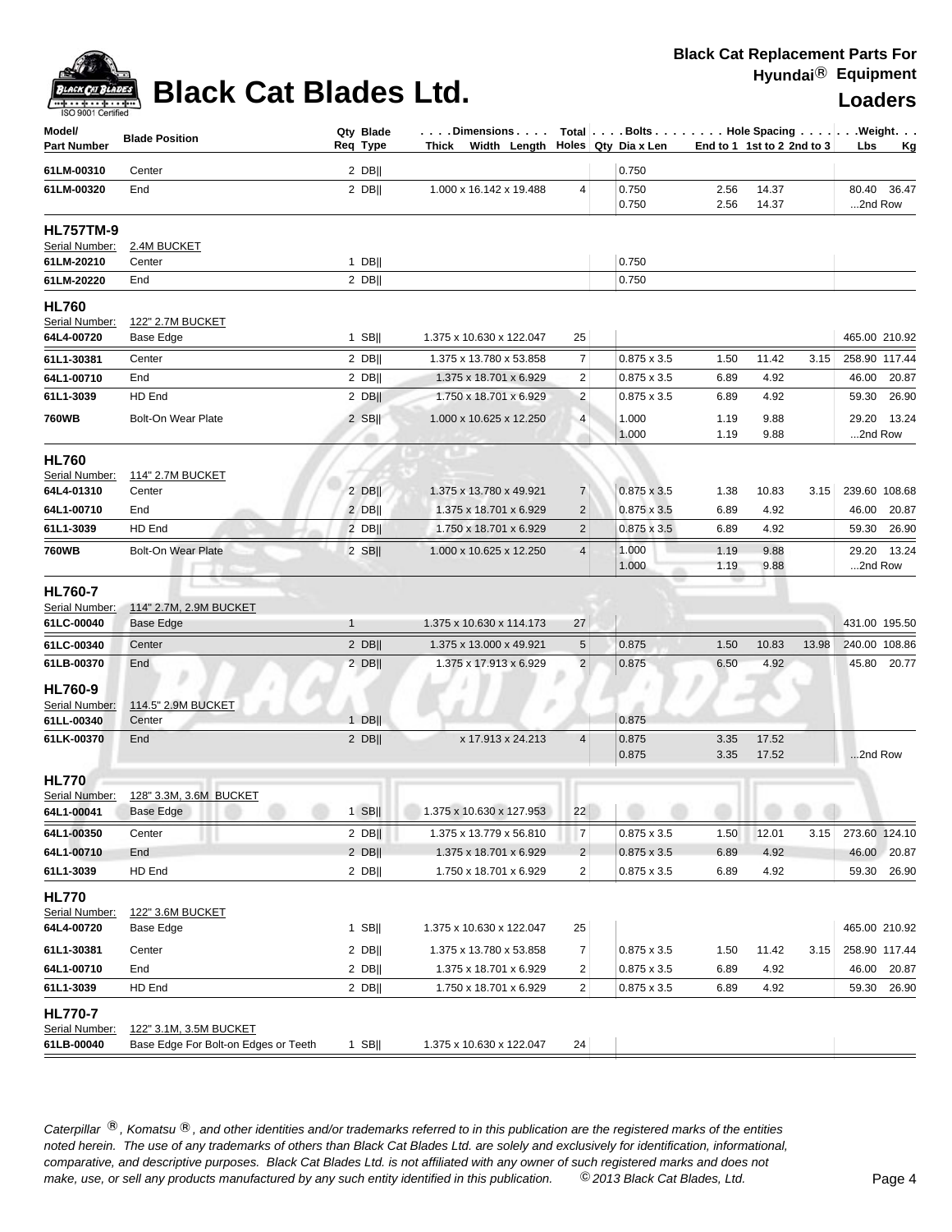## **Black Cat Blades Ltd.**

| <b>Loaders</b> |  |  |  |
|----------------|--|--|--|
|                |  |  |  |

| Model/<br><b>Part Number</b>                     | <b>Blade Position</b>                                          |              | Qty Blade<br>Req Type | Dimensions   Total   Bolts    Hole Spacing    Weight<br>Thick Width Length Holes Qty Dia x Len |                         |                    | End to 1 1st to 2 2nd to 3 |                |       | Lbs           | Kg          |
|--------------------------------------------------|----------------------------------------------------------------|--------------|-----------------------|------------------------------------------------------------------------------------------------|-------------------------|--------------------|----------------------------|----------------|-------|---------------|-------------|
| 61LM-00310                                       | Center                                                         |              | $2$ DB                |                                                                                                |                         | 0.750              |                            |                |       |               |             |
| 61LM-00320                                       | End                                                            |              | $2$ DB                | 1.000 x 16.142 x 19.488                                                                        | 4                       | 0.750<br>0.750     | 2.56<br>2.56               | 14.37<br>14.37 |       | 2nd Row       | 80.40 36.47 |
| <b>HL757TM-9</b><br>Serial Number:<br>61LM-20210 | 2.4M BUCKET<br>Center                                          |              | $1$ DB                |                                                                                                |                         | 0.750              |                            |                |       |               |             |
| 61LM-20220                                       | End                                                            |              | 2 DB                  |                                                                                                |                         | 0.750              |                            |                |       |               |             |
| <b>HL760</b><br>Serial Number:                   | 122" 2.7M BUCKET                                               |              |                       |                                                                                                |                         |                    |                            |                |       |               |             |
| 64L4-00720                                       | Base Edge                                                      |              | $1$ SB                | 1.375 x 10.630 x 122.047                                                                       | 25                      |                    |                            |                |       | 465.00 210.92 |             |
| 61L1-30381                                       | Center                                                         |              | $2$ DB                | 1.375 x 13.780 x 53.858                                                                        | $\boldsymbol{7}$        | $0.875 \times 3.5$ | 1.50                       | 11.42          | 3.15  | 258.90 117.44 |             |
| 64L1-00710                                       | End                                                            |              | $2$ DB                | 1.375 x 18.701 x 6.929                                                                         | $\overline{2}$          | $0.875 \times 3.5$ | 6.89                       | 4.92           |       |               | 46.00 20.87 |
| 61L1-3039                                        | HD End                                                         |              | $2$ DB                | 1.750 x 18.701 x 6.929                                                                         | $\overline{2}$          | $0.875 \times 3.5$ | 6.89                       | 4.92           |       |               | 59.30 26.90 |
| <b>760WB</b>                                     | Bolt-On Wear Plate                                             |              | $2$ SB                | 1.000 x 10.625 x 12.250                                                                        | $\overline{4}$          | 1.000<br>1.000     | 1.19<br>1.19               | 9.88<br>9.88   |       | 2nd Row       | 29.20 13.24 |
| <b>HL760</b><br>Serial Number:<br>64L4-01310     | <b>114" 2.7M BUCKET</b><br>Center                              |              | $2$ DB                | 1.375 x 13.780 x 49.921                                                                        | $\overline{7}$          | $0.875 \times 3.5$ | 1.38                       | 10.83          | 3.15  | 239.60 108.68 |             |
| 64L1-00710                                       | End                                                            |              | $2$ DB                | 1.375 x 18.701 x 6.929                                                                         | $\overline{2}$          | $0.875 \times 3.5$ | 6.89                       | 4.92           |       |               | 46.00 20.87 |
| 61L1-3039                                        | HD End                                                         |              | $2$ DB                | 1.750 x 18.701 x 6.929                                                                         | $\overline{2}$          | $0.875 \times 3.5$ | 6.89                       | 4.92           |       |               | 59.30 26.90 |
| <b>760WB</b>                                     | <b>Bolt-On Wear Plate</b>                                      |              | $2$ SB                | 1.000 x 10.625 x 12.250                                                                        | $\overline{4}$          | 1.000<br>1.000     | 1.19<br>1.19               | 9.88<br>9.88   |       | 2nd Row       | 29.20 13.24 |
| <b>HL760-7</b><br>Serial Number:<br>61LC-00040   | 114" 2.7M, 2.9M BUCKET<br>Base Edge                            | $\mathbf{1}$ |                       | 1.375 x 10.630 x 114.173                                                                       | 27                      |                    |                            |                |       | 431.00 195.50 |             |
| 61LC-00340                                       | Center                                                         |              | $2$ DB                | 1.375 x 13.000 x 49.921                                                                        | 5                       | 0.875              | 1.50                       | 10.83          | 13.98 | 240.00 108.86 |             |
| 61LB-00370                                       | End<br>v                                                       |              | $2$ DB                | 1.375 x 17.913 x 6.929                                                                         | $\overline{2}$          | 0.875              | 6.50                       | 4.92           |       |               | 45.80 20.77 |
| HL760-9<br>Serial Number:<br>61LL-00340          | 114.5" 2.9M BUCKET<br>Center                                   |              | $1$ DB                |                                                                                                |                         | 0.875              |                            |                |       |               |             |
| 61LK-00370                                       | End                                                            |              | 2 DB                  | x 17.913 x 24.213                                                                              | $\overline{4}$          | 0.875<br>0.875     | 3.35<br>3.35               | 17.52<br>17.52 |       | 2nd Row       |             |
| <b>HL770</b><br>Serial Number:<br>64L1-00041     | 128" 3.3M, 3.6M BUCKET<br>Base Edge                            |              |                       |                                                                                                |                         |                    |                            |                |       |               |             |
| 64L1-00350                                       | Center                                                         |              | $2$ DB                | 1.375 x 13.779 x 56.810                                                                        | $\overline{7}$          | 0.875 x 3.5        | 1.50                       | 12.01          | 3.15  | 273.60 124.10 |             |
| 64L1-00710                                       | End                                                            |              | $2$ DB                | 1.375 x 18.701 x 6.929                                                                         | $\overline{2}$          | $0.875 \times 3.5$ | 6.89                       | 4.92           |       |               | 46.00 20.87 |
| 61L1-3039                                        | HD End                                                         |              | $2$ DB                | 1.750 x 18.701 x 6.929                                                                         | $\overline{\mathbf{c}}$ | 0.875 x 3.5        | 6.89                       | 4.92           |       |               | 59.30 26.90 |
| <b>HL770</b><br>Serial Number:<br>64L4-00720     | 122" 3.6M BUCKET<br>Base Edge                                  |              | $1$ SB                | 1.375 x 10.630 x 122.047                                                                       | 25                      |                    |                            |                |       | 465.00 210.92 |             |
| 61L1-30381                                       | Center                                                         |              | $2$ DB                | 1.375 x 13.780 x 53.858                                                                        | $\overline{7}$          | 0.875 x 3.5        | 1.50                       | 11.42          | 3.15  | 258.90 117.44 |             |
| 64L1-00710                                       | End                                                            |              | $2$ DB                | 1.375 x 18.701 x 6.929                                                                         | $\overline{\mathbf{c}}$ | $0.875 \times 3.5$ | 6.89                       | 4.92           |       |               | 46.00 20.87 |
| 61L1-3039                                        | HD End                                                         |              | $2$ DB                | 1.750 x 18.701 x 6.929                                                                         | 2                       | $0.875 \times 3.5$ | 6.89                       | 4.92           |       |               | 59.30 26.90 |
| <b>HL770-7</b><br>Serial Number:<br>61LB-00040   | 122" 3.1M, 3.5M BUCKET<br>Base Edge For Bolt-on Edges or Teeth |              | $1$ SB                | 1.375 x 10.630 x 122.047                                                                       | 24                      |                    |                            |                |       |               |             |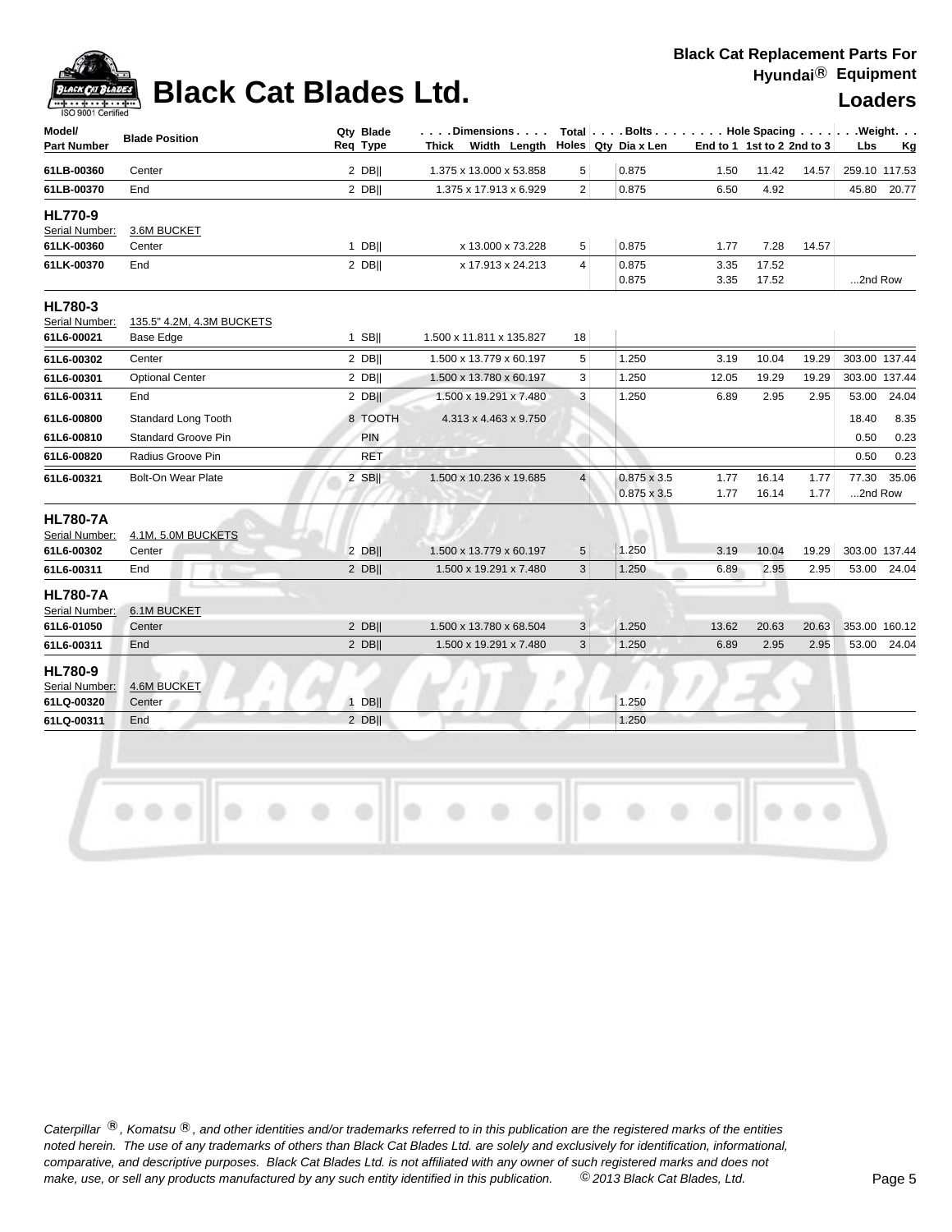

# **Black Cat Blades Ltd. Loaders Legation Cat Blades Ltd. Loaders**

### **Black Cat Replacement Parts For Hyundai**® **Equipment**

| 1.50<br>6.50<br>1.77<br>3.35<br>3.35<br>3.19<br>12.05<br>6.89 | 11.42<br>4.92<br>7.28<br>17.52<br>17.52<br>10.04 | 14.57<br>14.57 | 45.80<br>2nd Row | 259.10 117.53<br>20.77                  |
|---------------------------------------------------------------|--------------------------------------------------|----------------|------------------|-----------------------------------------|
|                                                               |                                                  |                |                  |                                         |
|                                                               |                                                  |                |                  |                                         |
|                                                               |                                                  |                |                  |                                         |
|                                                               |                                                  |                |                  |                                         |
|                                                               |                                                  |                |                  |                                         |
|                                                               |                                                  |                |                  |                                         |
|                                                               |                                                  | 19.29          |                  | 303.00 137.44                           |
|                                                               | 19.29                                            | 19.29          |                  | 303.00 137.44                           |
|                                                               | 2.95                                             | 2.95           | 53.00            | 24.04                                   |
|                                                               |                                                  |                | 18.40            | 8.35                                    |
|                                                               |                                                  |                | 0.50             | 0.23                                    |
|                                                               |                                                  |                |                  | 0.23                                    |
| 1.77<br>1.77                                                  | 16.14<br>16.14                                   | 1.77<br>1.77   |                  | 35.06                                   |
| 3.19                                                          | 10.04                                            | 19.29          |                  | 303.00 137.44                           |
|                                                               |                                                  |                |                  |                                         |
| 13.62                                                         | 20.63                                            | 20.63          |                  | 353.00 160.12                           |
| 6.89                                                          | 2.95                                             | 2.95           |                  | 53.00 24.04                             |
|                                                               |                                                  |                |                  |                                         |
|                                                               |                                                  |                |                  |                                         |
|                                                               | 6.89                                             | 2.95           | 2.95             | 0.50<br>77.30<br>2nd Row<br>53.00 24.04 |